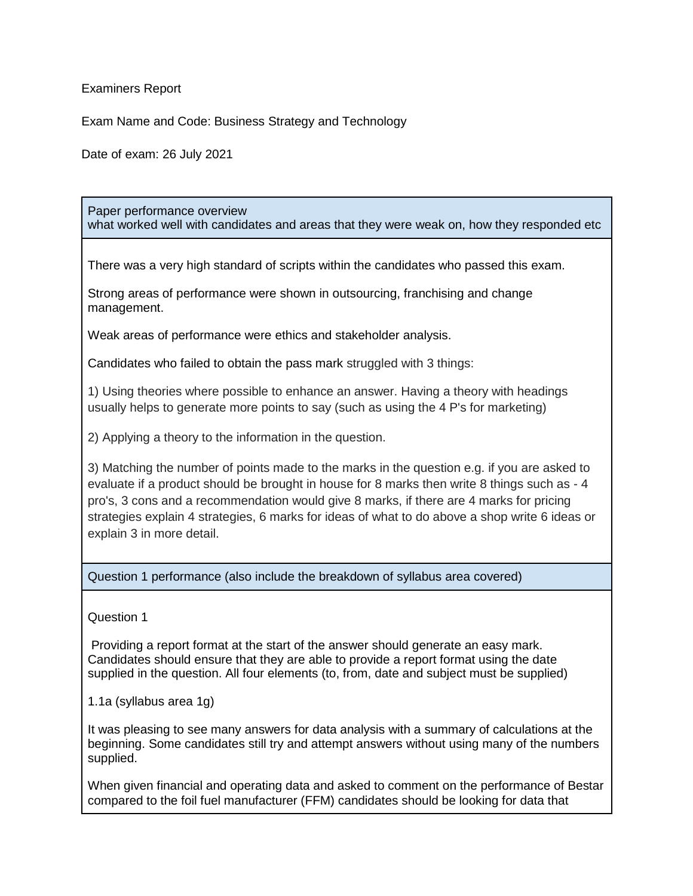Examiners Report

Exam Name and Code: Business Strategy and Technology

Date of exam: 26 July 2021

## Paper performance overview what worked well with candidates and areas that they were weak on, how they responded etc

There was a very high standard of scripts within the candidates who passed this exam.

Strong areas of performance were shown in outsourcing, franchising and change management.

Weak areas of performance were ethics and stakeholder analysis.

Candidates who failed to obtain the pass mark struggled with 3 things:

1) Using theories where possible to enhance an answer. Having a theory with headings usually helps to generate more points to say (such as using the 4 P's for marketing)

2) Applying a theory to the information in the question.

3) Matching the number of points made to the marks in the question e.g. if you are asked to evaluate if a product should be brought in house for 8 marks then write 8 things such as - 4 pro's, 3 cons and a recommendation would give 8 marks, if there are 4 marks for pricing strategies explain 4 strategies, 6 marks for ideas of what to do above a shop write 6 ideas or explain 3 in more detail.

Question 1 performance (also include the breakdown of syllabus area covered)

Question 1

Providing a report format at the start of the answer should generate an easy mark. Candidates should ensure that they are able to provide a report format using the date supplied in the question. All four elements (to, from, date and subject must be supplied)

1.1a (syllabus area 1g)

It was pleasing to see many answers for data analysis with a summary of calculations at the beginning. Some candidates still try and attempt answers without using many of the numbers supplied.

When given financial and operating data and asked to comment on the performance of Bestar compared to the foil fuel manufacturer (FFM) candidates should be looking for data that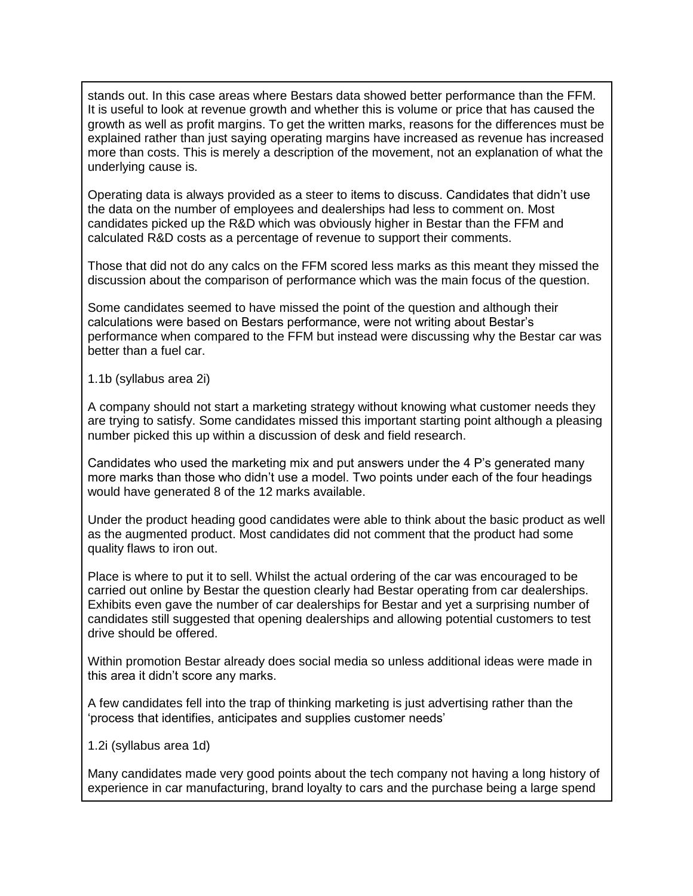stands out. In this case areas where Bestars data showed better performance than the FFM. It is useful to look at revenue growth and whether this is volume or price that has caused the growth as well as profit margins. To get the written marks, reasons for the differences must be explained rather than just saying operating margins have increased as revenue has increased more than costs. This is merely a description of the movement, not an explanation of what the underlying cause is.

Operating data is always provided as a steer to items to discuss. Candidates that didn't use the data on the number of employees and dealerships had less to comment on. Most candidates picked up the R&D which was obviously higher in Bestar than the FFM and calculated R&D costs as a percentage of revenue to support their comments.

Those that did not do any calcs on the FFM scored less marks as this meant they missed the discussion about the comparison of performance which was the main focus of the question.

Some candidates seemed to have missed the point of the question and although their calculations were based on Bestars performance, were not writing about Bestar's performance when compared to the FFM but instead were discussing why the Bestar car was better than a fuel car.

1.1b (syllabus area 2i)

A company should not start a marketing strategy without knowing what customer needs they are trying to satisfy. Some candidates missed this important starting point although a pleasing number picked this up within a discussion of desk and field research.

Candidates who used the marketing mix and put answers under the 4 P's generated many more marks than those who didn't use a model. Two points under each of the four headings would have generated 8 of the 12 marks available.

Under the product heading good candidates were able to think about the basic product as well as the augmented product. Most candidates did not comment that the product had some quality flaws to iron out.

Place is where to put it to sell. Whilst the actual ordering of the car was encouraged to be carried out online by Bestar the question clearly had Bestar operating from car dealerships. Exhibits even gave the number of car dealerships for Bestar and yet a surprising number of candidates still suggested that opening dealerships and allowing potential customers to test drive should be offered.

Within promotion Bestar already does social media so unless additional ideas were made in this area it didn't score any marks.

A few candidates fell into the trap of thinking marketing is just advertising rather than the 'process that identifies, anticipates and supplies customer needs'

1.2i (syllabus area 1d)

Many candidates made very good points about the tech company not having a long history of experience in car manufacturing, brand loyalty to cars and the purchase being a large spend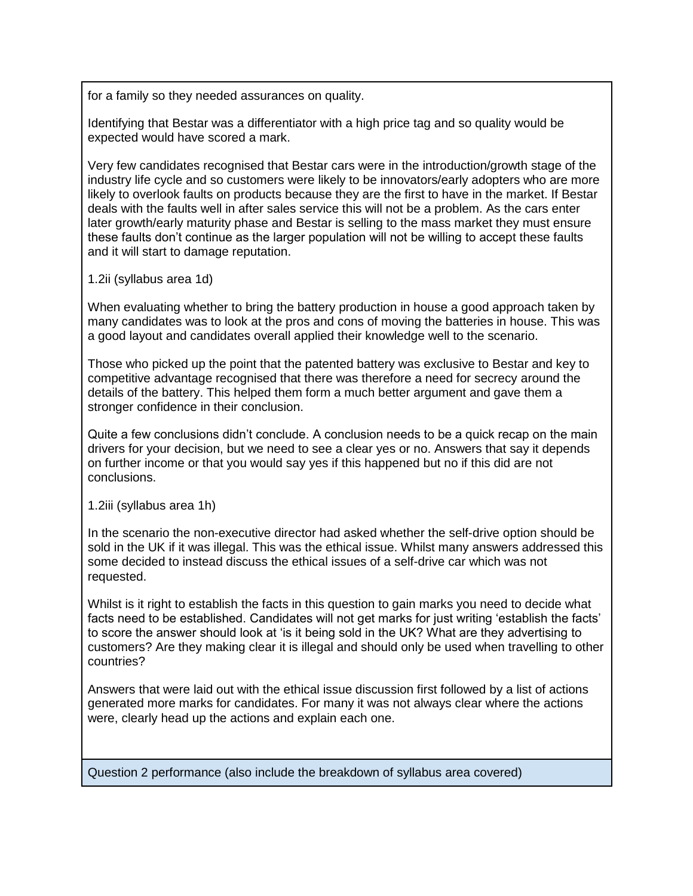for a family so they needed assurances on quality.

Identifying that Bestar was a differentiator with a high price tag and so quality would be expected would have scored a mark.

Very few candidates recognised that Bestar cars were in the introduction/growth stage of the industry life cycle and so customers were likely to be innovators/early adopters who are more likely to overlook faults on products because they are the first to have in the market. If Bestar deals with the faults well in after sales service this will not be a problem. As the cars enter later growth/early maturity phase and Bestar is selling to the mass market they must ensure these faults don't continue as the larger population will not be willing to accept these faults and it will start to damage reputation.

1.2ii (syllabus area 1d)

When evaluating whether to bring the battery production in house a good approach taken by many candidates was to look at the pros and cons of moving the batteries in house. This was a good layout and candidates overall applied their knowledge well to the scenario.

Those who picked up the point that the patented battery was exclusive to Bestar and key to competitive advantage recognised that there was therefore a need for secrecy around the details of the battery. This helped them form a much better argument and gave them a stronger confidence in their conclusion.

Quite a few conclusions didn't conclude. A conclusion needs to be a quick recap on the main drivers for your decision, but we need to see a clear yes or no. Answers that say it depends on further income or that you would say yes if this happened but no if this did are not conclusions.

1.2iii (syllabus area 1h)

In the scenario the non-executive director had asked whether the self-drive option should be sold in the UK if it was illegal. This was the ethical issue. Whilst many answers addressed this some decided to instead discuss the ethical issues of a self-drive car which was not requested.

Whilst is it right to establish the facts in this question to gain marks you need to decide what facts need to be established. Candidates will not get marks for just writing 'establish the facts' to score the answer should look at 'is it being sold in the UK? What are they advertising to customers? Are they making clear it is illegal and should only be used when travelling to other countries?

Answers that were laid out with the ethical issue discussion first followed by a list of actions generated more marks for candidates. For many it was not always clear where the actions were, clearly head up the actions and explain each one.

Question 2 performance (also include the breakdown of syllabus area covered)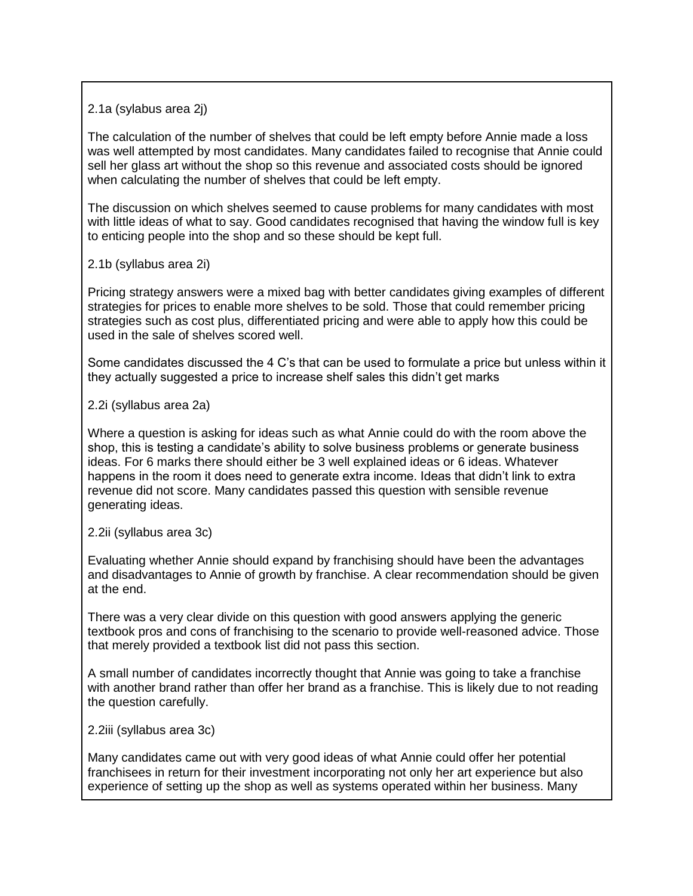2.1a (sylabus area 2j)

The calculation of the number of shelves that could be left empty before Annie made a loss was well attempted by most candidates. Many candidates failed to recognise that Annie could sell her glass art without the shop so this revenue and associated costs should be ignored when calculating the number of shelves that could be left empty.

The discussion on which shelves seemed to cause problems for many candidates with most with little ideas of what to say. Good candidates recognised that having the window full is key to enticing people into the shop and so these should be kept full.

2.1b (syllabus area 2i)

Pricing strategy answers were a mixed bag with better candidates giving examples of different strategies for prices to enable more shelves to be sold. Those that could remember pricing strategies such as cost plus, differentiated pricing and were able to apply how this could be used in the sale of shelves scored well.

Some candidates discussed the 4 C's that can be used to formulate a price but unless within it they actually suggested a price to increase shelf sales this didn't get marks

2.2i (syllabus area 2a)

Where a question is asking for ideas such as what Annie could do with the room above the shop, this is testing a candidate's ability to solve business problems or generate business ideas. For 6 marks there should either be 3 well explained ideas or 6 ideas. Whatever happens in the room it does need to generate extra income. Ideas that didn't link to extra revenue did not score. Many candidates passed this question with sensible revenue generating ideas.

2.2ii (syllabus area 3c)

Evaluating whether Annie should expand by franchising should have been the advantages and disadvantages to Annie of growth by franchise. A clear recommendation should be given at the end.

There was a very clear divide on this question with good answers applying the generic textbook pros and cons of franchising to the scenario to provide well-reasoned advice. Those that merely provided a textbook list did not pass this section.

A small number of candidates incorrectly thought that Annie was going to take a franchise with another brand rather than offer her brand as a franchise. This is likely due to not reading the question carefully.

2.2iii (syllabus area 3c)

Many candidates came out with very good ideas of what Annie could offer her potential franchisees in return for their investment incorporating not only her art experience but also experience of setting up the shop as well as systems operated within her business. Many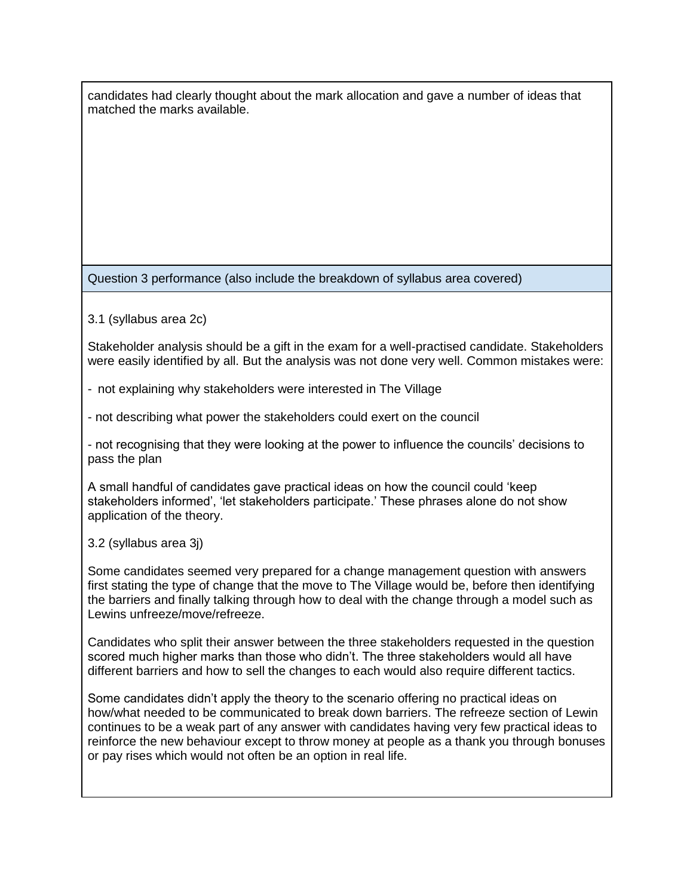candidates had clearly thought about the mark allocation and gave a number of ideas that matched the marks available.

Question 3 performance (also include the breakdown of syllabus area covered)

3.1 (syllabus area 2c)

Stakeholder analysis should be a gift in the exam for a well-practised candidate. Stakeholders were easily identified by all. But the analysis was not done very well. Common mistakes were:

- not explaining why stakeholders were interested in The Village

- not describing what power the stakeholders could exert on the council

- not recognising that they were looking at the power to influence the councils' decisions to pass the plan

A small handful of candidates gave practical ideas on how the council could 'keep stakeholders informed', 'let stakeholders participate.' These phrases alone do not show application of the theory.

3.2 (syllabus area 3j)

Some candidates seemed very prepared for a change management question with answers first stating the type of change that the move to The Village would be, before then identifying the barriers and finally talking through how to deal with the change through a model such as Lewins unfreeze/move/refreeze.

Candidates who split their answer between the three stakeholders requested in the question scored much higher marks than those who didn't. The three stakeholders would all have different barriers and how to sell the changes to each would also require different tactics.

Some candidates didn't apply the theory to the scenario offering no practical ideas on how/what needed to be communicated to break down barriers. The refreeze section of Lewin continues to be a weak part of any answer with candidates having very few practical ideas to reinforce the new behaviour except to throw money at people as a thank you through bonuses or pay rises which would not often be an option in real life.